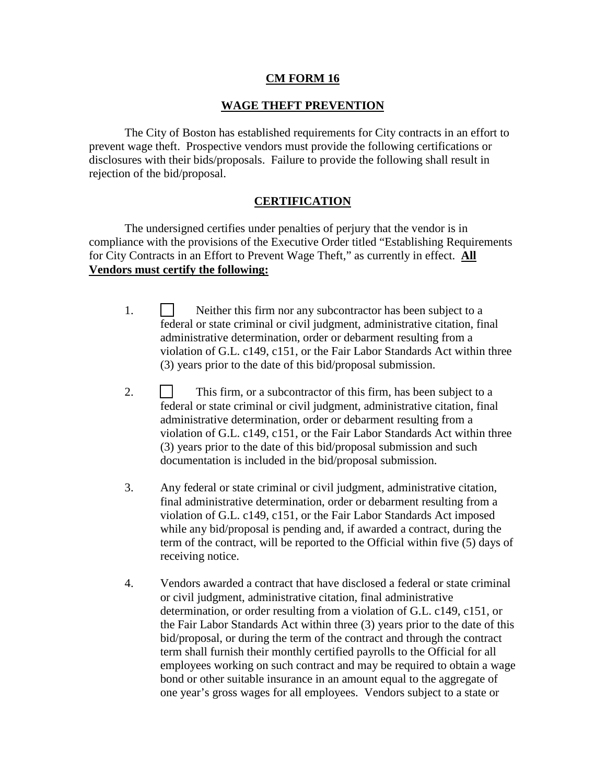## **CM FORM 16**

## **WAGE THEFT PREVENTION**

 The City of Boston has established requirements for City contracts in an effort to prevent wage theft. Prospective vendors must provide the following certifications or disclosures with their bids/proposals. Failure to provide the following shall result in rejection of the bid/proposal.

## **CERTIFICATION**

 The undersigned certifies under penalties of perjury that the vendor is in compliance with the provisions of the Executive Order titled "Establishing Requirements for City Contracts in an Effort to Prevent Wage Theft," as currently in effect. **All Vendors must certify the following:**

- 1. Neither this firm nor any subcontractor has been subject to a federal or state criminal or civil judgment, administrative citation, final administrative determination, order or debarment resulting from a violation of G.L. c149, c151, or the Fair Labor Standards Act within three (3) years prior to the date of this bid/proposal submission.
- 2. **This firm, or a subcontractor of this firm, has been subject to a** federal or state criminal or civil judgment, administrative citation, final administrative determination, order or debarment resulting from a violation of G.L. c149, c151, or the Fair Labor Standards Act within three (3) years prior to the date of this bid/proposal submission and such documentation is included in the bid/proposal submission.
- 3. Any federal or state criminal or civil judgment, administrative citation, final administrative determination, order or debarment resulting from a violation of G.L. c149, c151, or the Fair Labor Standards Act imposed while any bid/proposal is pending and, if awarded a contract, during the term of the contract, will be reported to the Official within five (5) days of receiving notice.
- 4. Vendors awarded a contract that have disclosed a federal or state criminal or civil judgment, administrative citation, final administrative determination, or order resulting from a violation of G.L. c149, c151, or the Fair Labor Standards Act within three (3) years prior to the date of this bid/proposal, or during the term of the contract and through the contract term shall furnish their monthly certified payrolls to the Official for all employees working on such contract and may be required to obtain a wage bond or other suitable insurance in an amount equal to the aggregate of one year's gross wages for all employees. Vendors subject to a state or